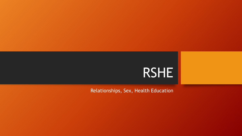

Relationships, Sex, Health Education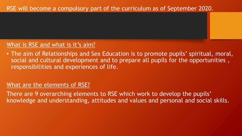### RSE will become a compulsory part of the curriculum as of September 2020.

#### What is RSE and what is it's aim?

• The aim of Relationships and Sex Education is to promote pupils' spiritual, moral, social and cultural development and to prepare all pupils for the opportunities , responsibilities and experiences of life.

#### What are the elements of RSE?

There are 9 overarching elements to RSE which work to develop the pupils' knowledge and understanding, attitudes and values and personal and social skills.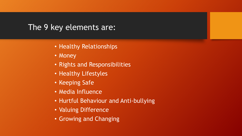## The 9 key elements are:

- Healthy Relationships
- Money
- Rights and Responsibilities
- Healthy Lifestyles
- Keeping Safe
- Media Influence
- Hurtful Behaviour and Anti-bullying
- Valuing Difference
- Growing and Changing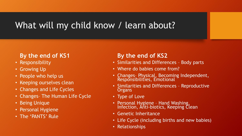# What will my child know / learn about?

### **By the end of KS1**

- Responsibility
- Growing Up
- People who help us
- Keeping ourselves clean
- Changes and Life Cycles
- Changes– The Human Life Cycle
- Being Unique
- Personal Hygiene
- The 'PANTS' Rule

### **By the end of KS2**

- Similarities and Differences Body parts
- Where do babies come from?
- Changes- Physical, Becoming Independent, Responsibilities, Emotional
- Similarities and Differences Reproductive **Organs**
- Type of Love
- Personal Hygiene Hand Washing, Infection, Anti-biotics, Keeping Clean
- Genetic Inheritance
- Life Cycle (including births and new babies)
- Relationships